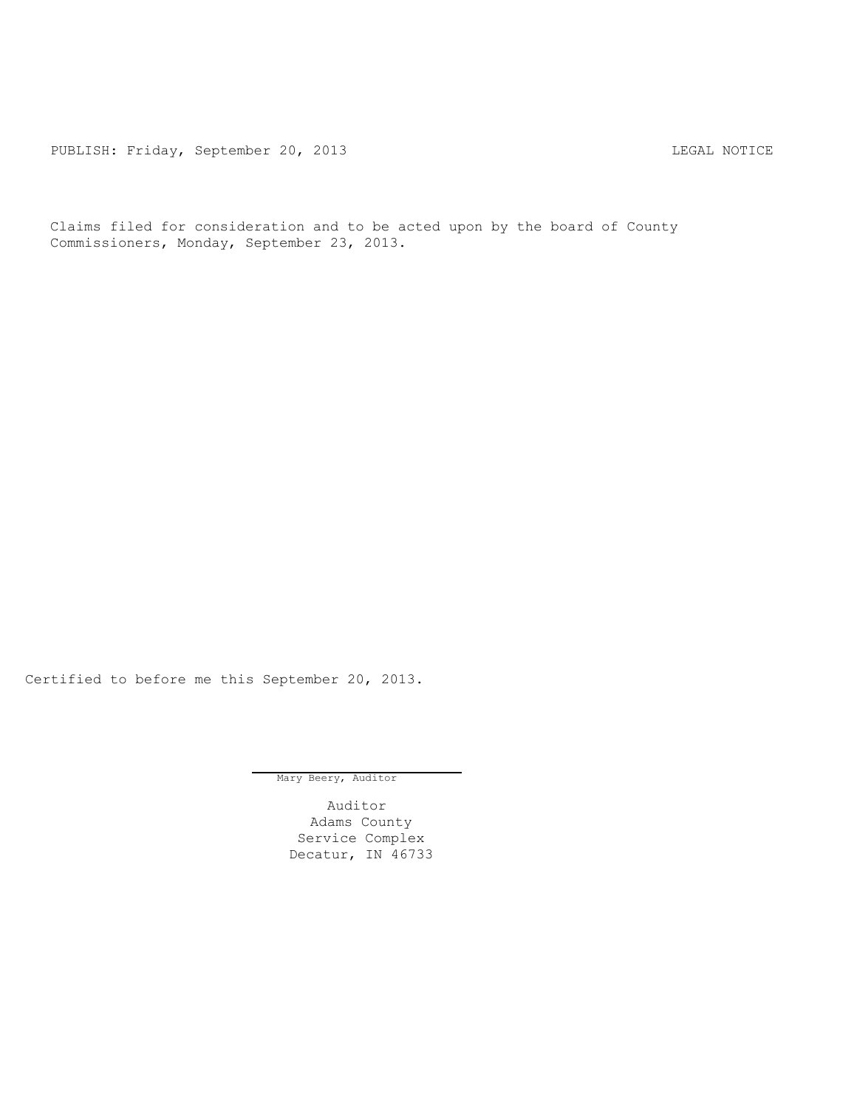PUBLISH: Friday, September 20, 2013 LEGAL NOTICE

Claims filed for consideration and to be acted upon by the board of County Commissioners, Monday, September 23, 2013.

Certified to before me this September 20, 2013.

Mary Beery, Auditor

Auditor Adams County Service Complex Decatur, IN 46733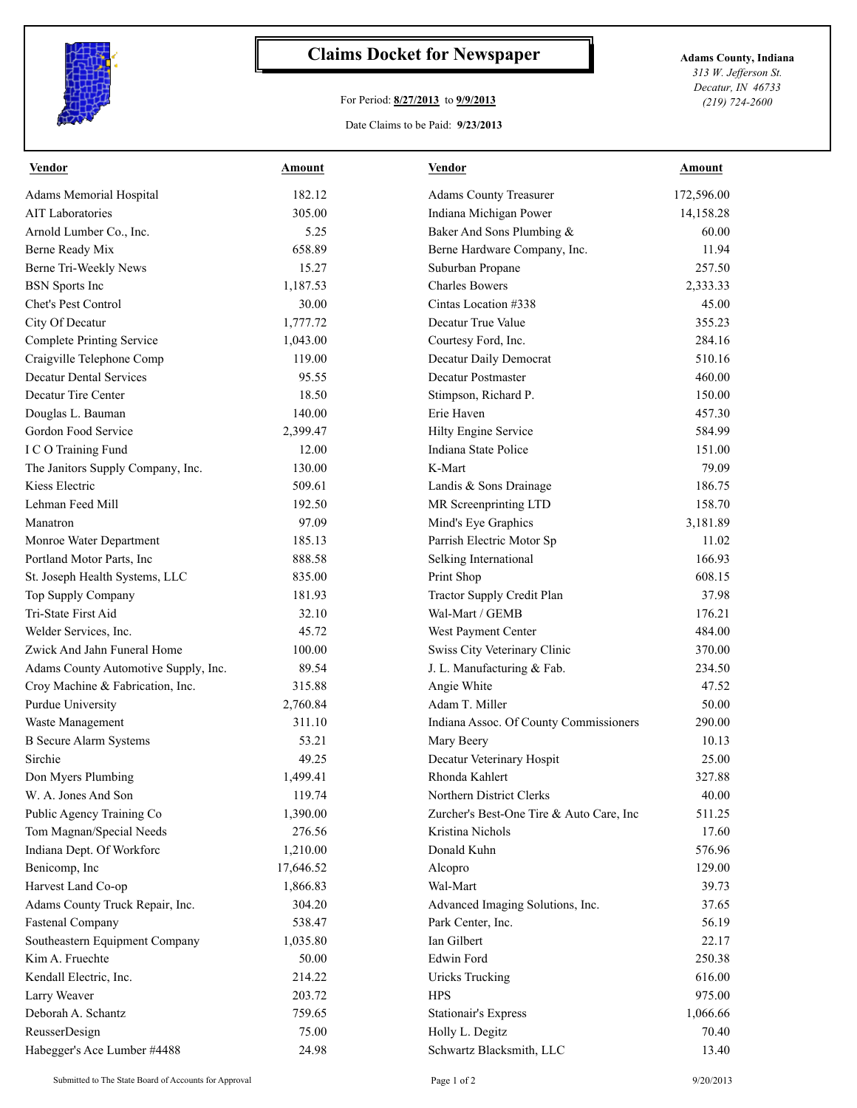

## **Claims Docket for Newspaper Adams County, Indiana**

## For Period: **8/27/2013** to **9/9/2013**

*313 W. Jefferson St. Decatur, IN 46733 (219) 724-2600*

## Date Claims to be Paid: **9/23/2013**

| <b>Vendor</b>                        | Amount    | <b>Vendor</b>                            | Amount     |
|--------------------------------------|-----------|------------------------------------------|------------|
| Adams Memorial Hospital              | 182.12    | <b>Adams County Treasurer</b>            | 172,596.00 |
| <b>AIT Laboratories</b>              | 305.00    | Indiana Michigan Power                   | 14,158.28  |
| Arnold Lumber Co., Inc.              | 5.25      | Baker And Sons Plumbing &                | 60.00      |
| Berne Ready Mix                      | 658.89    | Berne Hardware Company, Inc.             | 11.94      |
| Berne Tri-Weekly News                | 15.27     | Suburban Propane                         | 257.50     |
| <b>BSN</b> Sports Inc                | 1,187.53  | <b>Charles Bowers</b>                    | 2,333.33   |
| Chet's Pest Control                  | 30.00     | Cintas Location #338                     | 45.00      |
| City Of Decatur                      | 1,777.72  | Decatur True Value                       | 355.23     |
| Complete Printing Service            | 1,043.00  | Courtesy Ford, Inc.                      | 284.16     |
| Craigville Telephone Comp            | 119.00    | Decatur Daily Democrat                   | 510.16     |
| <b>Decatur Dental Services</b>       | 95.55     | Decatur Postmaster                       | 460.00     |
| Decatur Tire Center                  | 18.50     | Stimpson, Richard P.                     | 150.00     |
| Douglas L. Bauman                    | 140.00    | Erie Haven                               | 457.30     |
| Gordon Food Service                  | 2,399.47  | Hilty Engine Service                     | 584.99     |
| I C O Training Fund                  | 12.00     | Indiana State Police                     | 151.00     |
| The Janitors Supply Company, Inc.    | 130.00    | K-Mart                                   | 79.09      |
| Kiess Electric                       | 509.61    | Landis & Sons Drainage                   | 186.75     |
| Lehman Feed Mill                     | 192.50    | MR Screenprinting LTD                    | 158.70     |
| Manatron                             | 97.09     | Mind's Eye Graphics                      | 3,181.89   |
| Monroe Water Department              | 185.13    | Parrish Electric Motor Sp                | 11.02      |
| Portland Motor Parts, Inc            | 888.58    | Selking International                    | 166.93     |
| St. Joseph Health Systems, LLC       | 835.00    | Print Shop                               | 608.15     |
| Top Supply Company                   | 181.93    | Tractor Supply Credit Plan               | 37.98      |
| Tri-State First Aid                  | 32.10     | Wal-Mart / GEMB                          | 176.21     |
| Welder Services, Inc.                | 45.72     | West Payment Center                      | 484.00     |
| Zwick And Jahn Funeral Home          | 100.00    | Swiss City Veterinary Clinic             | 370.00     |
| Adams County Automotive Supply, Inc. | 89.54     | J. L. Manufacturing & Fab.               | 234.50     |
| Croy Machine & Fabrication, Inc.     | 315.88    | Angie White                              | 47.52      |
| Purdue University                    | 2,760.84  | Adam T. Miller                           | 50.00      |
| Waste Management                     | 311.10    | Indiana Assoc. Of County Commissioners   | 290.00     |
| <b>B</b> Secure Alarm Systems        | 53.21     | Mary Beery                               | 10.13      |
| Sirchie                              | 49.25     | Decatur Veterinary Hospit                | 25.00      |
| Don Myers Plumbing                   | 1,499.41  | Rhonda Kahlert                           | 327.88     |
| W. A. Jones And Son                  | 119.74    | Northern District Clerks                 | 40.00      |
| Public Agency Training Co            | 1,390.00  | Zurcher's Best-One Tire & Auto Care, Inc | 511.25     |
| Tom Magnan/Special Needs             | 276.56    | Kristina Nichols                         | 17.60      |
| Indiana Dept. Of Workforc            | 1,210.00  | Donald Kuhn                              | 576.96     |
| Benicomp, Inc                        | 17,646.52 | Alcopro                                  | 129.00     |
| Harvest Land Co-op                   | 1,866.83  | Wal-Mart                                 | 39.73      |
| Adams County Truck Repair, Inc.      | 304.20    | Advanced Imaging Solutions, Inc.         | 37.65      |
| <b>Fastenal Company</b>              | 538.47    | Park Center, Inc.                        | 56.19      |
| Southeastern Equipment Company       | 1,035.80  | Ian Gilbert                              | 22.17      |
| Kim A. Fruechte                      | 50.00     | <b>Edwin Ford</b>                        | 250.38     |
| Kendall Electric, Inc.               | 214.22    | <b>Uricks Trucking</b>                   | 616.00     |
| Larry Weaver                         | 203.72    | <b>HPS</b>                               | 975.00     |
| Deborah A. Schantz                   | 759.65    | <b>Stationair's Express</b>              | 1,066.66   |
| ReusserDesign                        | 75.00     | Holly L. Degitz                          | 70.40      |
| Habegger's Ace Lumber #4488          | 24.98     | Schwartz Blacksmith, LLC                 | 13.40      |